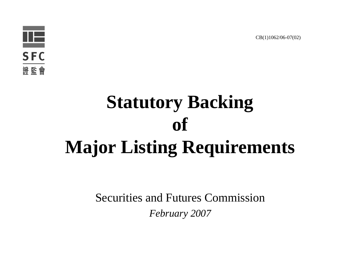

# **Statutory Backing of Major Listing Requirements**

Securities and Futures Commission*February 2007*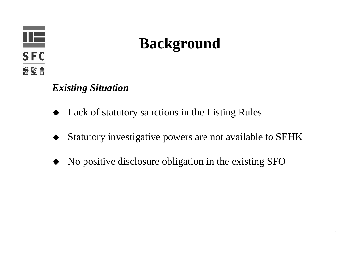

#### **Background**

#### *Existing Situation*

- ♦ Lack of statutory sanctions in the Listing Rules
- ♦ Statutory investigative powers are not available to SEHK
- ♦ No positive disclosure obligation in the existing SFO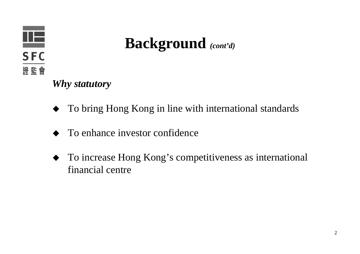

**Background** *(cont'd)*

*Why statutory*

- ♦ To bring Hong Kong in line with international standards
- ♦ To enhance investor confidence
- To increase Hong Kong's competitiveness as international financial centre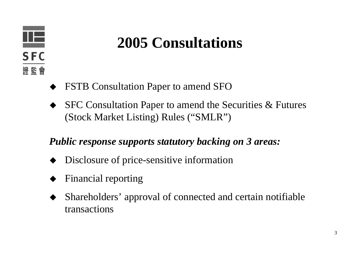

#### **2005 Consultations**

- ♦ FSTB Consultation Paper to amend SFO
- ♦ SFC Consultation Paper to amend the Securities & Futures (Stock Market Listing) Rules ("SMLR")

#### *Public response supports statutory backing on 3 areas:*

- ♦ Disclosure of price-sensitive information
- ♦ Financial reporting
- ♦ Shareholders' approval of connected and certain notifiable transactions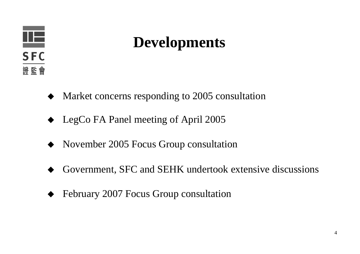

#### **Developments**

- ♦ Market concerns responding to 2005 consultation
- ◆ LegCo FA Panel meeting of April 2005
- ♦ November 2005 Focus Group consultation
- ♦ Government, SFC and SEHK undertook extensive discussions
- ♦ February 2007 Focus Group consultation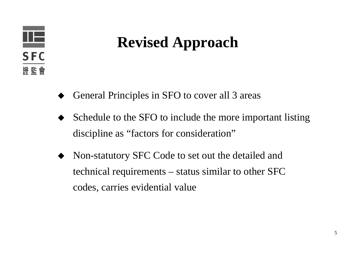

# **Revised Approach**

- ♦ General Principles in SFO to cover all 3 areas
- ♦ Schedule to the SFO to include the more important listing discipline as "factors for consideration"
- ♦ Non-statutory SFC Code to set out the detailed and technical requirements – status similar to other SFC codes, carries evidential value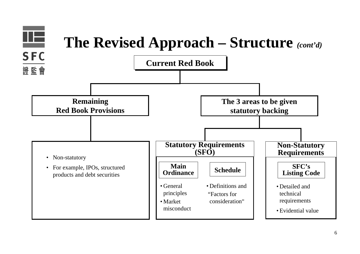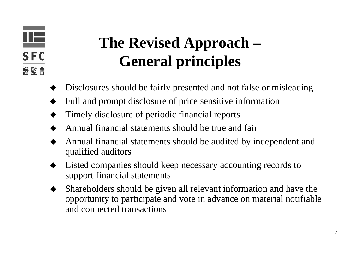#### œ **SFC** 證監會

# **The Revised Approach – General principles**

- ♦ Disclosures should be fairly presented and not false or misleading
- ♦ Full and prompt disclosure of price sensitive information
- ♦ Timely disclosure of periodic financial reports
- ♦ Annual financial statements should be true and fair
- ♦ Annual financial statements should be audited by independent and qualified auditors
- ♦ Listed companies should keep necessary accounting records to support financial statements
- ♦ Shareholders should be given all relevant information and have the opportunity to participate and vote in advance on material notifiable and connected transactions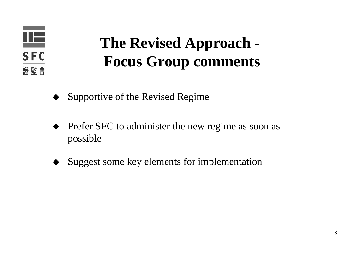

# **The Revised Approach - Focus Group comments**

- Supportive of the Revised Regime
- ♦ Prefer SFC to administer the new regime as soon as possible
- ♦ Suggest some key elements for implementation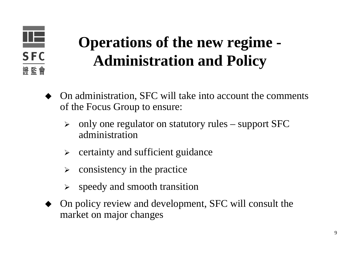

# **Operations of the new regime - Administration and Policy**

- ♦ On administration, SFC will take into account the comments of the Focus Group to ensure:
	- $\blacktriangleright$  only one regulator on statutory rules – support SFC administration
	- $\blacktriangleright$ certainty and sufficient guidance
	- $\blacktriangleright$ consistency in the practice
	- $\blacktriangleright$ speedy and smooth transition
- ♦ On policy review and development, SFC will consult the market on major changes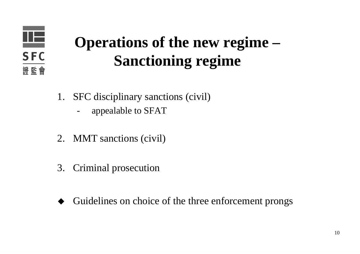

# **Operations of the new regime – Sanctioning regime**

- 1. SFC disciplinary sanctions (civil)
	- appealable to SFAT
- 2. MMT sanctions (civil)
- 3. Criminal prosecution
- ♦ Guidelines on choice of the three enforcement prongs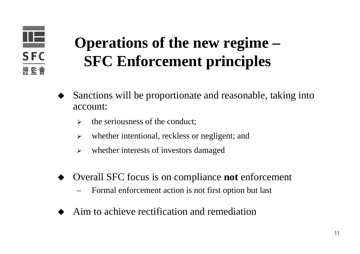

# **Operations of the new regime – SFC Enforcement principles**

- ♦ Sanctions will be proportionate and reasonable, taking into account:
	- $\blacktriangleright$ the seriousness of the conduct;
	- $\blacktriangleright$ whether intentional, reckless or negligent; and
	- $\blacktriangleright$ whether interests of investors damaged
- ♦ Overall SFC focus is on compliance **not** enforcement
	- Formal enforcement action is not first option but last
- ♦ Aim to achieve rectification and remediation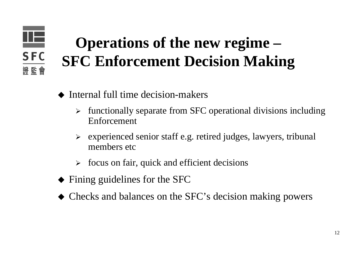#### 正 **SFC** 證監會

# **Operations of the new regime – SFC Enforcement Decision Making**

- ♦ Internal full time decision-makers
	- $\blacktriangleright$  functionally separate from SFC operational divisions including Enforcement
	- ¾ experienced senior staff e.g. retired judges, lawyers, tribunal members etc
	- $\blacktriangleright$ focus on fair, quick and efficient decisions
- Fining guidelines for the SFC
- Checks and balances on the SFC's decision making powers